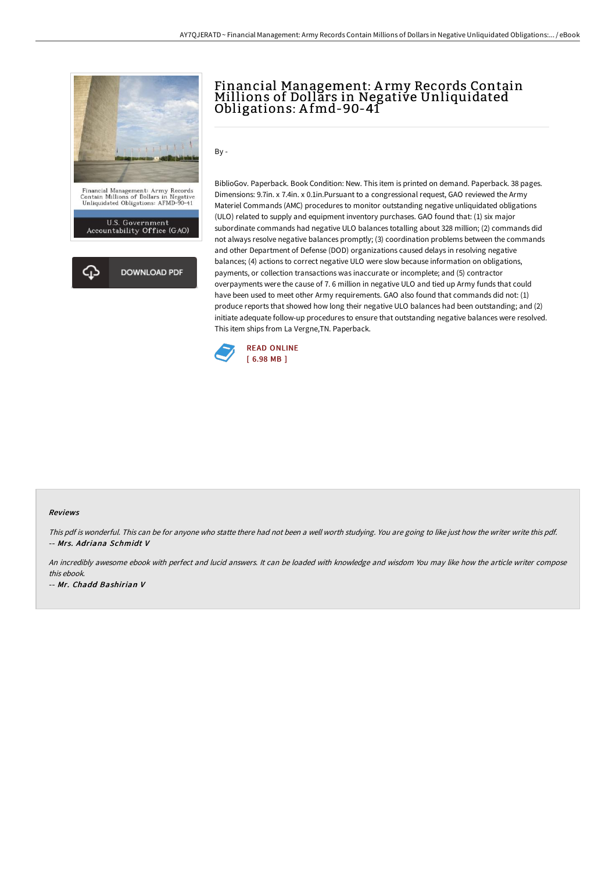

# Financial Management: A rmy Records Contain Millions of Dollars in Negative Unliquidated Obligations: A fmd-90-41

 $Bv -$ 

BiblioGov. Paperback. Book Condition: New. This item is printed on demand. Paperback. 38 pages. Dimensions: 9.7in. x 7.4in. x 0.1in.Pursuant to a congressional request, GAO reviewed the Army Materiel Commands (AMC) procedures to monitor outstanding negative unliquidated obligations (ULO) related to supply and equipment inventory purchases. GAO found that: (1) six major subordinate commands had negative ULO balances totalling about 328 million; (2) commands did not always resolve negative balances promptly; (3) coordination problems between the commands and other Department of Defense (DOD) organizations caused delays in resolving negative balances; (4) actions to correct negative ULO were slow because information on obligations, payments, or collection transactions was inaccurate or incomplete; and (5) contractor overpayments were the cause of 7. 6 million in negative ULO and tied up Army funds that could have been used to meet other Army requirements. GAO also found that commands did not: (1) produce reports that showed how long their negative ULO balances had been outstanding; and (2) initiate adequate follow-up procedures to ensure that outstanding negative balances were resolved. This item ships from La Vergne,TN. Paperback.



#### Reviews

This pdf is wonderful. This can be for anyone who statte there had not been a well worth studying. You are going to like just how the writer write this pdf. -- Mrs. Adriana Schmidt V

An incredibly awesome ebook with perfect and lucid answers. It can be loaded with knowledge and wisdom You may like how the article writer compose this ebook.

-- Mr. Chadd Bashirian V